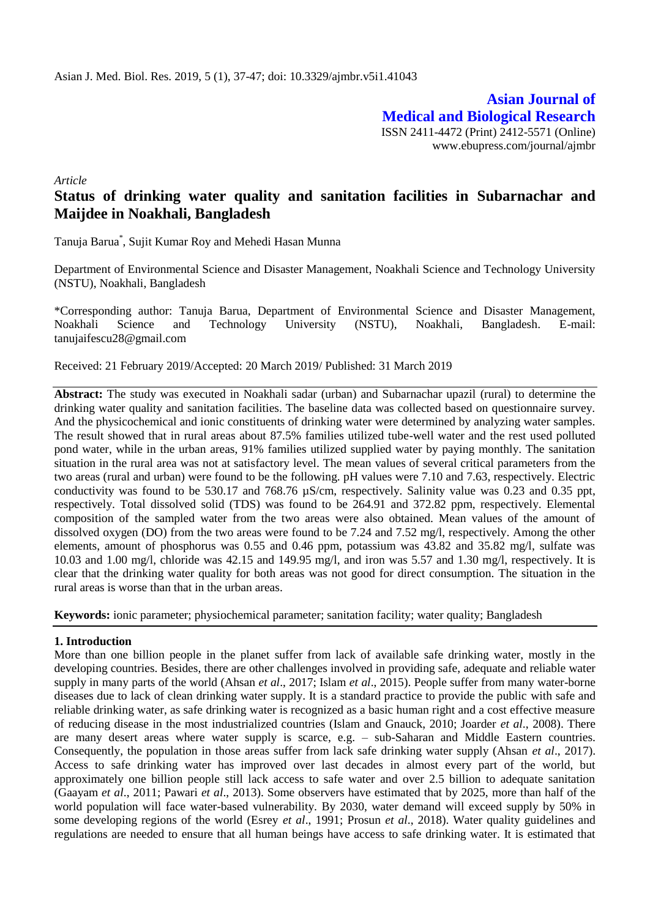**Asian Journal of Medical and Biological Research** ISSN 2411-4472 (Print) 2412-5571 (Online) www.ebupress.com/journal/ajmbr

*Article*

# **Status of drinking water quality and sanitation facilities in Subarnachar and Maijdee in Noakhali, Bangladesh**

Tanuja Barua\* , Sujit Kumar Roy and Mehedi Hasan Munna

Department of Environmental Science and Disaster Management, Noakhali Science and Technology University (NSTU), Noakhali, Bangladesh

\*Corresponding author: Tanuja Barua, Department of Environmental Science and Disaster Management, Noakhali Science and Technology University (NSTU), Noakhali, Bangladesh. E-mail: [tanujaifescu28@gmail.com](mailto:tanujaifescu28@gmail.com)

Received: 21 February 2019/Accepted: 20 March 2019/ Published: 31 March 2019

**Abstract:** The study was executed in Noakhali sadar (urban) and Subarnachar upazil (rural) to determine the drinking water quality and sanitation facilities. The baseline data was collected based on questionnaire survey. And the physicochemical and ionic constituents of drinking water were determined by analyzing water samples. The result showed that in rural areas about 87.5% families utilized tube-well water and the rest used polluted pond water, while in the urban areas, 91% families utilized supplied water by paying monthly. The sanitation situation in the rural area was not at satisfactory level. The mean values of several critical parameters from the two areas (rural and urban) were found to be the following. pH values were 7.10 and 7.63, respectively. Electric conductivity was found to be 530.17 and 768.76 µS/cm, respectively. Salinity value was 0.23 and 0.35 ppt, respectively. Total dissolved solid (TDS) was found to be 264.91 and 372.82 ppm, respectively. Elemental composition of the sampled water from the two areas were also obtained. Mean values of the amount of dissolved oxygen (DO) from the two areas were found to be 7.24 and 7.52 mg/l, respectively. Among the other elements, amount of phosphorus was 0.55 and 0.46 ppm, potassium was 43.82 and 35.82 mg/l, sulfate was 10.03 and 1.00 mg/l, chloride was 42.15 and 149.95 mg/l, and iron was 5.57 and 1.30 mg/l, respectively. It is clear that the drinking water quality for both areas was not good for direct consumption. The situation in the rural areas is worse than that in the urban areas.

**Keywords:** ionic parameter; physiochemical parameter; sanitation facility; water quality; Bangladesh

# **1. Introduction**

More than one billion people in the planet suffer from lack of available safe drinking water, mostly in the developing countries. Besides, there are other challenges involved in providing safe, adequate and reliable water supply in many parts of the world (Ahsan *et al*., 2017; Islam *et al*., 2015). People suffer from many water-borne diseases due to lack of clean drinking water supply. It is a standard practice to provide the public with safe and reliable drinking water, as safe drinking water is recognized as a basic human right and a cost effective measure of reducing disease in the most industrialized countries (Islam and Gnauck, 2010; Joarder *et al*., 2008). There are many desert areas where water supply is scarce, e.g. – sub-Saharan and Middle Eastern countries. Consequently, the population in those areas suffer from lack safe drinking water supply (Ahsan *et al*., 2017). Access to safe drinking water has improved over last decades in almost every part of the world, but approximately one billion people still lack access to safe water and over 2.5 billion to adequate sanitation (Gaayam *et al*., 2011; Pawari *et al*., 2013). Some observers have estimated that by 2025, more than half of the world population will face water-based vulnerability. By 2030, water demand will exceed supply by 50% in some developing regions of the world (Esrey *et al*., 1991; Prosun *et al*., 2018). Water quality guidelines and regulations are needed to ensure that all human beings have access to safe drinking water. It is estimated that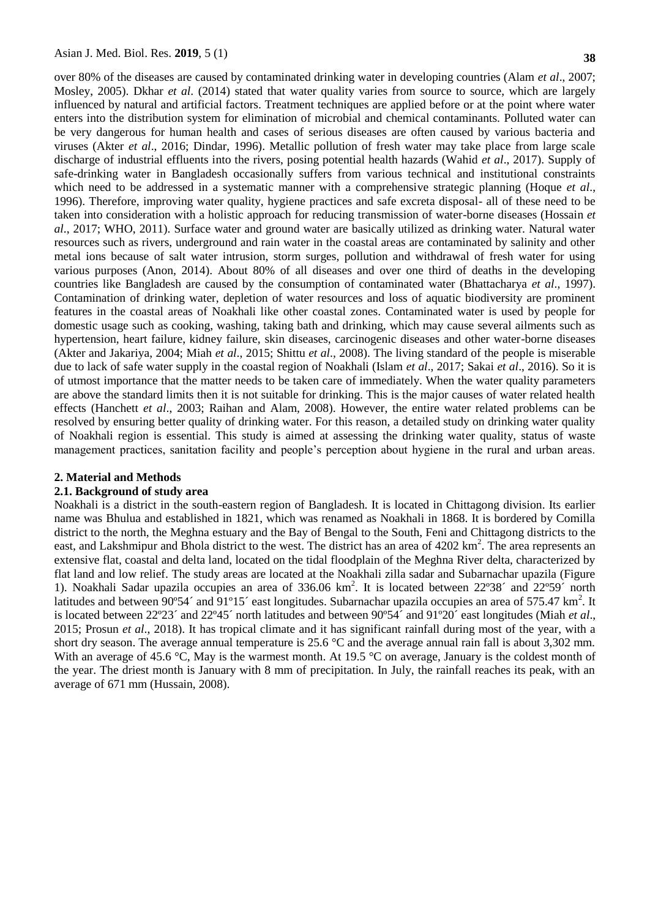over 80% of the diseases are caused by contaminated drinking water in developing countries (Alam *et al*., 2007; Mosley, 2005). Dkhar *et al*. (2014) stated that water quality varies from source to source, which are largely influenced by natural and artificial factors. Treatment techniques are applied before or at the point where water enters into the distribution system for elimination of microbial and chemical contaminants. Polluted water can be very dangerous for human health and cases of serious diseases are often caused by various bacteria and viruses (Akter *et al*., 2016; Dindar, 1996). Metallic pollution of fresh water may take place from large scale discharge of industrial effluents into the rivers, posing potential health hazards (Wahid *et al*., 2017). Supply of safe-drinking water in Bangladesh occasionally suffers from various technical and institutional constraints which need to be addressed in a systematic manner with a comprehensive strategic planning (Hoque *et al.*, 1996). Therefore, improving water quality, hygiene practices and safe excreta disposal- all of these need to be taken into consideration with a holistic approach for reducing transmission of water-borne diseases (Hossain *et al*., 2017; WHO, 2011). Surface water and ground water are basically utilized as drinking water. Natural water resources such as rivers, underground and rain water in the coastal areas are contaminated by salinity and other metal ions because of salt water intrusion, storm surges, pollution and withdrawal of fresh water for using various purposes (Anon, 2014). About 80% of all diseases and over one third of deaths in the developing countries like Bangladesh are caused by the consumption of contaminated water (Bhattacharya *et al*., 1997). Contamination of drinking water, depletion of water resources and loss of aquatic biodiversity are prominent features in the coastal areas of Noakhali like other coastal zones. Contaminated water is used by people for domestic usage such as cooking, washing, taking bath and drinking, which may cause several ailments such as hypertension, heart failure, kidney failure, skin diseases, carcinogenic diseases and other water-borne diseases (Akter and Jakariya, 2004; Miah *et al*., 2015; Shittu *et al*., 2008). The living standard of the people is miserable due to lack of safe water supply in the coastal region of Noakhali (Islam *et al*., 2017; Sakai *et al*., 2016). So it is of utmost importance that the matter needs to be taken care of immediately. When the water quality parameters are above the standard limits then it is not suitable for drinking. This is the major causes of water related health effects (Hanchett *et al*., 2003; Raihan and Alam, 2008). However, the entire water related problems can be resolved by ensuring better quality of drinking water. For this reason, a detailed study on drinking water quality of Noakhali region is essential. This study is aimed at assessing the drinking water quality, status of waste management practices, sanitation facility and people's perception about hygiene in the rural and urban areas.

## **2. Material and Methods**

## **2.1. Background of study area**

Noakhali is a district in the south-eastern region of Bangladesh. It is located in Chittagong division. Its earlier name was Bhulua and established in 1821, which was renamed as Noakhali in 1868. It is bordered by Comilla district to the north, the Meghna estuary and the Bay of Bengal to the South, Feni and Chittagong districts to the east, and Lakshmipur and Bhola district to the west. The district has an area of 4202 km<sup>2</sup>. The area represents an extensive flat, coastal and delta land, located on the tidal floodplain of the Meghna River delta, characterized by flat land and low relief. The study areas are located at the Noakhali zilla sadar and Subarnachar upazila (Figure 1). Noakhali Sadar upazila occupies an area of 336.06 km<sup>2</sup>. It is located between 22°38′ and 22°59′ north latitudes and between  $90^{\circ}54'$  and  $91^{\circ}15'$  east longitudes. Subarnachar upazila occupies an area of 575.47 km<sup>2</sup>. It is located between 22º23´ and 22º45´ north latitudes and between 90º54´ and 91º20´ east longitudes (Miah *et al*., 2015; Prosun *et al*., 2018). It has tropical climate and it has significant rainfall during most of the year, with a short dry season. The average annual temperature is 25.6 °C and the average annual rain fall is about 3,302 mm. With an average of 45.6 °C, May is the warmest month. At 19.5 °C on average, January is the coldest month of the year. The driest month is January with 8 mm of precipitation. In July, the rainfall reaches its peak, with an average of 671 mm (Hussain, 2008).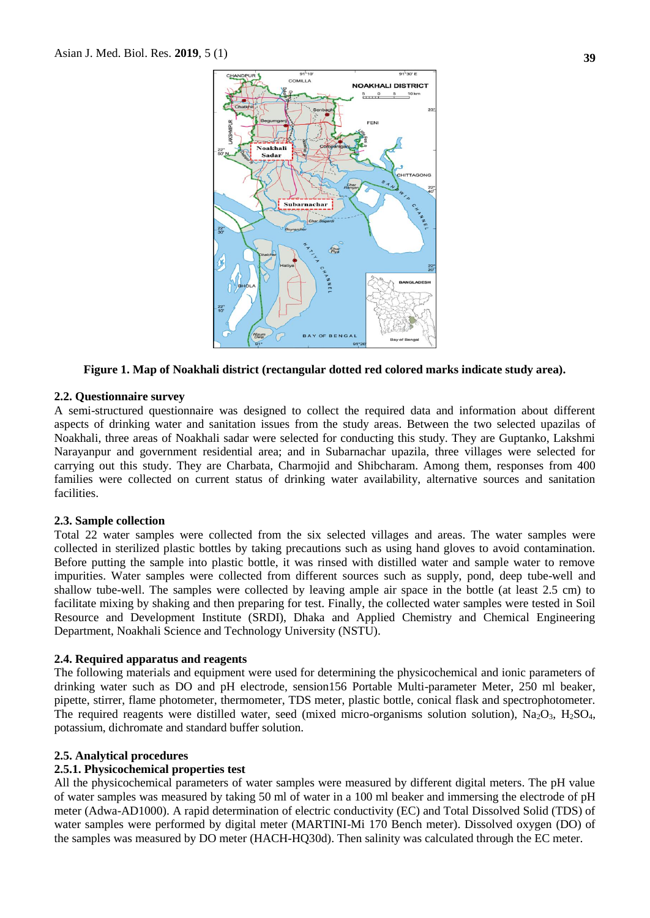

**Figure 1. Map of Noakhali district (rectangular dotted red colored marks indicate study area).**

## **2.2. Questionnaire survey**

A semi-structured questionnaire was designed to collect the required data and information about different aspects of drinking water and sanitation issues from the study areas. Between the two selected upazilas of Noakhali, three areas of Noakhali sadar were selected for conducting this study. They are Guptanko, Lakshmi Narayanpur and government residential area; and in Subarnachar upazila, three villages were selected for carrying out this study. They are Charbata, Charmojid and Shibcharam. Among them, responses from 400 families were collected on current status of drinking water availability, alternative sources and sanitation facilities.

## **2.3. Sample collection**

Total 22 water samples were collected from the six selected villages and areas. The water samples were collected in sterilized plastic bottles by taking precautions such as using hand gloves to avoid contamination. Before putting the sample into plastic bottle, it was rinsed with distilled water and sample water to remove impurities. Water samples were collected from different sources such as supply, pond, deep tube-well and shallow tube-well. The samples were collected by leaving ample air space in the bottle (at least 2.5 cm) to facilitate mixing by shaking and then preparing for test. Finally, the collected water samples were tested in Soil Resource and Development Institute (SRDI), Dhaka and Applied Chemistry and Chemical Engineering Department, Noakhali Science and Technology University (NSTU).

## **2.4. Required apparatus and reagents**

The following materials and equipment were used for determining the physicochemical and ionic parameters of drinking water such as DO and pH electrode, sension156 Portable Multi-parameter Meter, 250 ml beaker, pipette, stirrer, flame photometer, thermometer, TDS meter, plastic bottle, conical flask and spectrophotometer. The required reagents were distilled water, seed (mixed micro-organisms solution solution),  $Na<sub>2</sub>O<sub>3</sub>$ ,  $H<sub>2</sub>SO<sub>4</sub>$ , potassium, dichromate and standard buffer solution.

# **2.5. Analytical procedures**

# **2.5.1. Physicochemical properties test**

All the physicochemical parameters of water samples were measured by different digital meters. The pH value of water samples was measured by taking 50 ml of water in a 100 ml beaker and immersing the electrode of pH meter (Adwa-AD1000). A rapid determination of electric conductivity (EC) and Total Dissolved Solid (TDS) of water samples were performed by digital meter (MARTINI-Mi 170 Bench meter). Dissolved oxygen (DO) of the samples was measured by DO meter (HACH-HQ30d). Then salinity was calculated through the EC meter.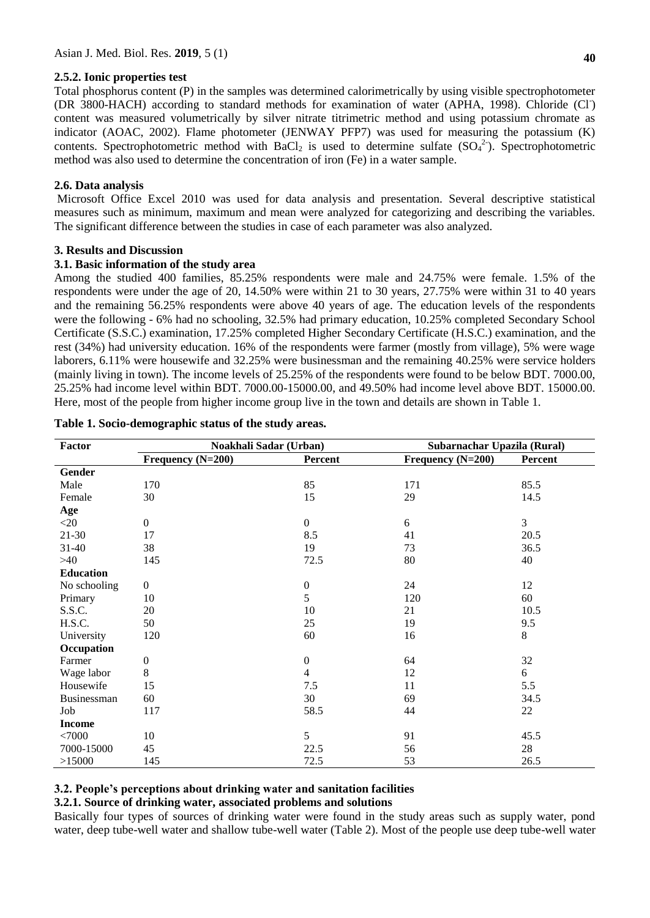# **2.5.2. Ionic properties test**

Total phosphorus content (P) in the samples was determined calorimetrically by using visible spectrophotometer (DR 3800-HACH) according to standard methods for examination of water (APHA, 1998). Chloride (Cl<sup>-</sup>) content was measured volumetrically by silver nitrate titrimetric method and using potassium chromate as indicator (AOAC, 2002). Flame photometer (JENWAY PFP7) was used for measuring the potassium (K) contents. Spectrophotometric method with BaCl<sub>2</sub> is used to determine sulfate  $(SO<sub>4</sub><sup>2</sup>)$ . Spectrophotometric method was also used to determine the concentration of iron (Fe) in a water sample.

# **2.6. Data analysis**

Microsoft Office Excel 2010 was used for data analysis and presentation. Several descriptive statistical measures such as minimum, maximum and mean were analyzed for categorizing and describing the variables. The significant difference between the studies in case of each parameter was also analyzed.

# **3. Results and Discussion**

# **3.1. Basic information of the study area**

Among the studied 400 families, 85.25% respondents were male and 24.75% were female. 1.5% of the respondents were under the age of 20, 14.50% were within 21 to 30 years, 27.75% were within 31 to 40 years and the remaining 56.25% respondents were above 40 years of age. The education levels of the respondents were the following - 6% had no schooling, 32.5% had primary education, 10.25% completed Secondary School Certificate (S.S.C.) examination, 17.25% completed Higher Secondary Certificate (H.S.C.) examination, and the rest (34%) had university education. 16% of the respondents were farmer (mostly from village), 5% were wage laborers, 6.11% were housewife and 32.25% were businessman and the remaining 40.25% were service holders (mainly living in town). The income levels of 25.25% of the respondents were found to be below BDT. 7000.00, 25.25% had income level within BDT. 7000.00-15000.00, and 49.50% had income level above BDT. 15000.00. Here, most of the people from higher income group live in the town and details are shown in Table 1.

| Factor           | Noakhali Sadar (Urban) |                  | Subarnachar Upazila (Rural) |                |  |  |
|------------------|------------------------|------------------|-----------------------------|----------------|--|--|
|                  | Frequency (N=200)      | Percent          | Frequency $(N=200)$         | Percent        |  |  |
| Gender           |                        |                  |                             |                |  |  |
| Male             | 170                    | 85               | 171                         | 85.5           |  |  |
| Female           | 30                     | 15               | 29                          | 14.5           |  |  |
| Age              |                        |                  |                             |                |  |  |
| $<$ 20           | $\boldsymbol{0}$       | $\mathbf{0}$     | 6                           | $\mathfrak{Z}$ |  |  |
| 21-30            | 17                     | 8.5              | 41                          | 20.5           |  |  |
| 31-40            | 38                     | 19               | 73                          | 36.5           |  |  |
| >40              | 145                    | 72.5             | 80                          | 40             |  |  |
| <b>Education</b> |                        |                  |                             |                |  |  |
| No schooling     | $\boldsymbol{0}$       | $\boldsymbol{0}$ | 24                          | 12             |  |  |
| Primary          | 10                     | 5                | 120                         | 60             |  |  |
| S.S.C.           | 20                     | 10               | 21                          | 10.5           |  |  |
| H.S.C.           | 50                     | 25               | 19                          | 9.5            |  |  |
| University       | 120                    | 60               | 16                          | 8              |  |  |
| Occupation       |                        |                  |                             |                |  |  |
| Farmer           | $\boldsymbol{0}$       | $\boldsymbol{0}$ | 64                          | 32             |  |  |
| Wage labor       | 8                      | $\overline{4}$   | 12                          | 6              |  |  |
| Housewife        | 15                     | 7.5              | 11                          | 5.5            |  |  |
| Businessman      | 60                     | 30               | 69                          | 34.5           |  |  |
| Job              | 117                    | 58.5             | 44                          | 22             |  |  |
| <b>Income</b>    |                        |                  |                             |                |  |  |
| <7000            | 10                     | 5                | 91                          | 45.5           |  |  |
| 7000-15000       | 45                     | 22.5             | 56                          | 28             |  |  |
| >15000           | 145                    | 72.5             | 53                          | 26.5           |  |  |

## **Table 1. Socio-demographic status of the study areas.**

# **3.2. People's perceptions about drinking water and sanitation facilities**

# **3.2.1. Source of drinking water, associated problems and solutions**

Basically four types of sources of drinking water were found in the study areas such as supply water, pond water, deep tube-well water and shallow tube-well water (Table 2). Most of the people use deep tube-well water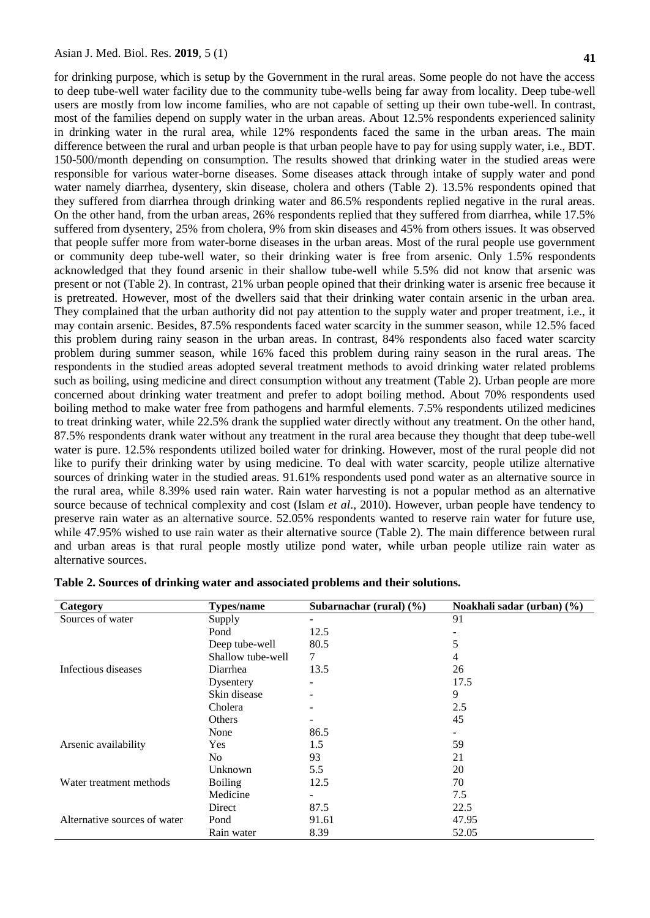for drinking purpose, which is setup by the Government in the rural areas. Some people do not have the access to deep tube-well water facility due to the community tube-wells being far away from locality. Deep tube-well users are mostly from low income families, who are not capable of setting up their own tube-well. In contrast, most of the families depend on supply water in the urban areas. About 12.5% respondents experienced salinity in drinking water in the rural area, while 12% respondents faced the same in the urban areas. The main difference between the rural and urban people is that urban people have to pay for using supply water, i.e., BDT. 150-500/month depending on consumption. The results showed that drinking water in the studied areas were responsible for various water-borne diseases. Some diseases attack through intake of supply water and pond water namely diarrhea, dysentery, skin disease, cholera and others (Table 2). 13.5% respondents opined that they suffered from diarrhea through drinking water and 86.5% respondents replied negative in the rural areas. On the other hand, from the urban areas, 26% respondents replied that they suffered from diarrhea, while 17.5% suffered from dysentery, 25% from cholera, 9% from skin diseases and 45% from others issues. It was observed that people suffer more from water-borne diseases in the urban areas. Most of the rural people use government or community deep tube-well water, so their drinking water is free from arsenic. Only 1.5% respondents acknowledged that they found arsenic in their shallow tube-well while 5.5% did not know that arsenic was present or not (Table 2). In contrast, 21% urban people opined that their drinking water is arsenic free because it is pretreated. However, most of the dwellers said that their drinking water contain arsenic in the urban area. They complained that the urban authority did not pay attention to the supply water and proper treatment, i.e., it may contain arsenic. Besides, 87.5% respondents faced water scarcity in the summer season, while 12.5% faced this problem during rainy season in the urban areas. In contrast, 84% respondents also faced water scarcity problem during summer season, while 16% faced this problem during rainy season in the rural areas. The respondents in the studied areas adopted several treatment methods to avoid drinking water related problems such as boiling, using medicine and direct consumption without any treatment (Table 2). Urban people are more concerned about drinking water treatment and prefer to adopt boiling method. About 70% respondents used boiling method to make water free from pathogens and harmful elements. 7.5% respondents utilized medicines to treat drinking water, while 22.5% drank the supplied water directly without any treatment. On the other hand, 87.5% respondents drank water without any treatment in the rural area because they thought that deep tube-well water is pure. 12.5% respondents utilized boiled water for drinking. However, most of the rural people did not like to purify their drinking water by using medicine. To deal with water scarcity, people utilize alternative sources of drinking water in the studied areas. 91.61% respondents used pond water as an alternative source in the rural area, while 8.39% used rain water. Rain water harvesting is not a popular method as an alternative source because of technical complexity and cost (Islam *et al*., 2010). However, urban people have tendency to preserve rain water as an alternative source. 52.05% respondents wanted to reserve rain water for future use, while 47.95% wished to use rain water as their alternative source (Table 2). The main difference between rural and urban areas is that rural people mostly utilize pond water, while urban people utilize rain water as alternative sources.

| Category                     | <b>Types/name</b> | Subarnachar (rural) $(\frac{6}{6})$ | Noakhali sadar (urban) (%) |
|------------------------------|-------------------|-------------------------------------|----------------------------|
| Sources of water             | Supply            |                                     | 91                         |
|                              | Pond              | 12.5                                |                            |
|                              | Deep tube-well    | 80.5                                | 5                          |
|                              | Shallow tube-well | $\tau$                              | 4                          |
| Infectious diseases          | Diarrhea          | 13.5                                | 26                         |
|                              | Dysentery         |                                     | 17.5                       |
|                              | Skin disease      |                                     | 9                          |
|                              | Cholera           |                                     | 2.5                        |
|                              | Others            |                                     | 45                         |
|                              | None              | 86.5                                |                            |
| Arsenic availability         | <b>Yes</b>        | 1.5                                 | 59                         |
|                              | N <sub>0</sub>    | 93                                  | 21                         |
|                              | Unknown           | 5.5                                 | 20                         |
| Water treatment methods      | <b>Boiling</b>    | 12.5                                | 70                         |
|                              | Medicine          |                                     | 7.5                        |
|                              | Direct            | 87.5                                | 22.5                       |
| Alternative sources of water | Pond              | 91.61                               | 47.95                      |
|                              | Rain water        | 8.39                                | 52.05                      |

#### **Table 2. Sources of drinking water and associated problems and their solutions.**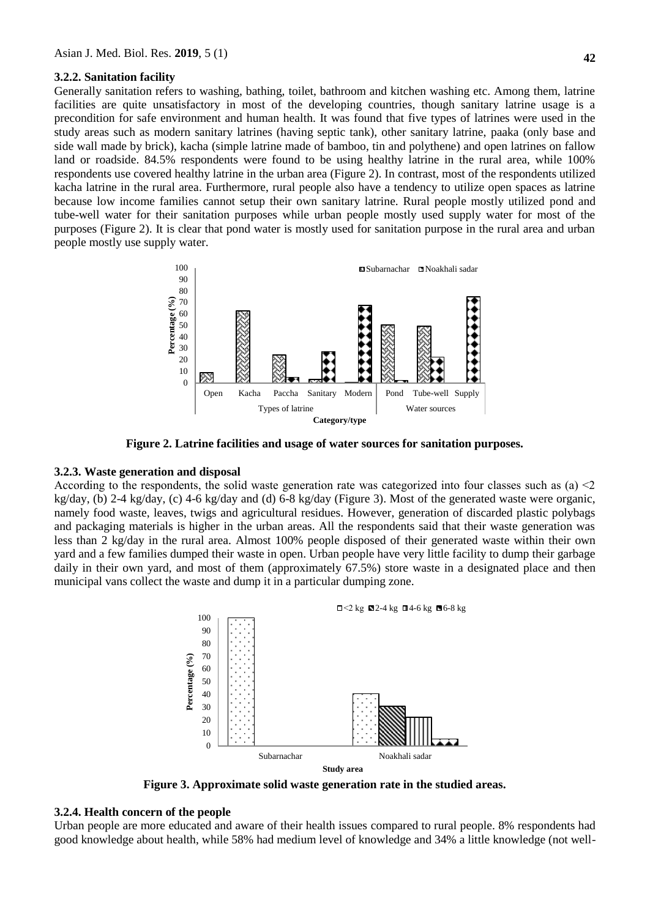#### **3.2.2. Sanitation facility**

Generally sanitation refers to washing, bathing, toilet, bathroom and kitchen washing etc. Among them, latrine facilities are quite unsatisfactory in most of the developing countries, though sanitary latrine usage is a precondition for safe environment and human health. It was found that five types of latrines were used in the study areas such as modern sanitary latrines (having septic tank), other sanitary latrine, paaka (only base and side wall made by brick), kacha (simple latrine made of bamboo, tin and polythene) and open latrines on fallow land or roadside. 84.5% respondents were found to be using healthy latrine in the rural area, while 100% respondents use covered healthy latrine in the urban area (Figure 2). In contrast, most of the respondents utilized kacha latrine in the rural area. Furthermore, rural people also have a tendency to utilize open spaces as latrine because low income families cannot setup their own sanitary latrine. Rural people mostly utilized pond and tube-well water for their sanitation purposes while urban people mostly used supply water for most of the purposes (Figure 2). It is clear that pond water is mostly used for sanitation purpose in the rural area and urban people mostly use supply water.



**Figure 2. Latrine facilities and usage of water sources for sanitation purposes.**

## **3.2.3. Waste generation and disposal**

According to the respondents, the solid waste generation rate was categorized into four classes such as (a) ˂2 kg/day, (b) 2-4 kg/day, (c) 4-6 kg/day and (d) 6-8 kg/day (Figure 3). Most of the generated waste were organic, namely food waste, leaves, twigs and agricultural residues. However, generation of discarded plastic polybags and packaging materials is higher in the urban areas. All the respondents said that their waste generation was less than 2 kg/day in the rural area. Almost 100% people disposed of their generated waste within their own yard and a few families dumped their waste in open. Urban people have very little facility to dump their garbage daily in their own yard, and most of them (approximately 67.5%) store waste in a designated place and then municipal vans collect the waste and dump it in a particular dumping zone.



**Figure 3. Approximate solid waste generation rate in the studied areas.**

# **3.2.4. Health concern of the people**

Urban people are more educated and aware of their health issues compared to rural people. 8% respondents had good knowledge about health, while 58% had medium level of knowledge and 34% a little knowledge (not well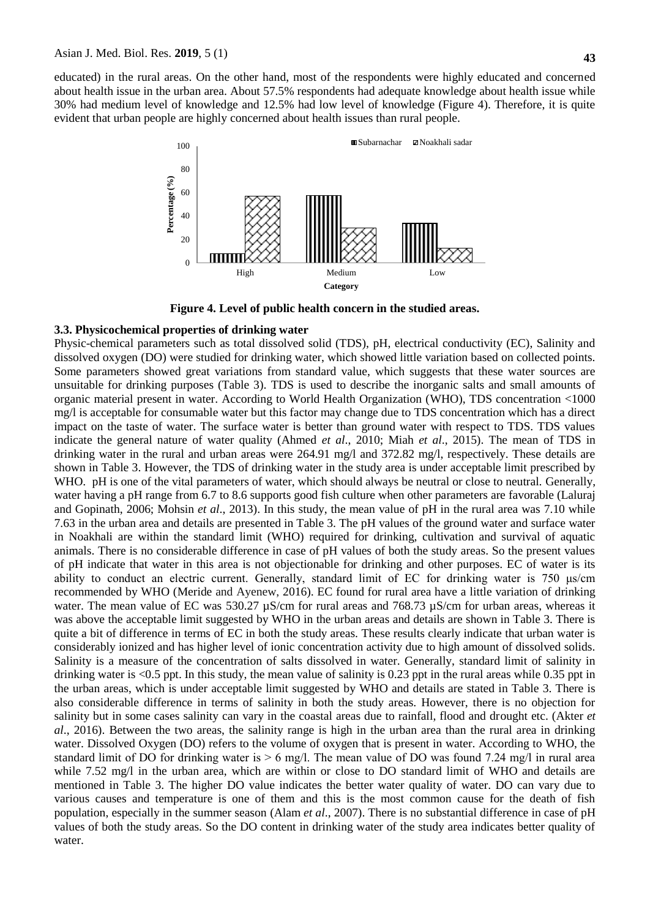educated) in the rural areas. On the other hand, most of the respondents were highly educated and concerned about health issue in the urban area. About 57.5% respondents had adequate knowledge about health issue while 30% had medium level of knowledge and 12.5% had low level of knowledge (Figure 4). Therefore, it is quite evident that urban people are highly concerned about health issues than rural people.



**Figure 4. Level of public health concern in the studied areas.**

#### **3.3. Physicochemical properties of drinking water**

Physic-chemical parameters such as total dissolved solid (TDS), pH, electrical conductivity (EC), Salinity and dissolved oxygen (DO) were studied for drinking water, which showed little variation based on collected points. Some parameters showed great variations from standard value, which suggests that these water sources are unsuitable for drinking purposes (Table 3). TDS is used to describe the inorganic salts and small amounts of organic material present in water. According to World Health Organization (WHO), TDS concentration <1000 mg/l is acceptable for consumable water but this factor may change due to TDS concentration which has a direct impact on the taste of water. The surface water is better than ground water with respect to TDS. TDS values indicate the general nature of water quality (Ahmed *et al*., 2010; Miah *et al*., 2015). The mean of TDS in drinking water in the rural and urban areas were 264.91 mg/l and 372.82 mg/l, respectively. These details are shown in Table 3. However, the TDS of drinking water in the study area is under acceptable limit prescribed by WHO. pH is one of the vital parameters of water, which should always be neutral or close to neutral. Generally, water having a pH range from 6.7 to 8.6 supports good fish culture when other parameters are favorable (Laluraj and Gopinath, 2006; Mohsin *et al*., 2013). In this study, the mean value of pH in the rural area was 7.10 while 7.63 in the urban area and details are presented in Table 3. The pH values of the ground water and surface water in Noakhali are within the standard limit (WHO) required for drinking, cultivation and survival of aquatic animals. There is no considerable difference in case of pH values of both the study areas. So the present values of pH indicate that water in this area is not objectionable for drinking and other purposes. EC of water is its ability to conduct an electric current. Generally, standard limit of EC for drinking water is 750 μs/cm recommended by WHO (Meride and Ayenew, 2016). EC found for rural area have a little variation of drinking water. The mean value of EC was 530.27  $\mu$ S/cm for rural areas and 768.73  $\mu$ S/cm for urban areas, whereas it was above the acceptable limit suggested by WHO in the urban areas and details are shown in Table 3. There is quite a bit of difference in terms of EC in both the study areas. These results clearly indicate that urban water is considerably ionized and has higher level of ionic concentration activity due to high amount of dissolved solids. Salinity is a measure of the concentration of salts dissolved in water. Generally, standard limit of salinity in drinking water is <0.5 ppt. In this study, the mean value of salinity is 0.23 ppt in the rural areas while 0.35 ppt in the urban areas, which is under acceptable limit suggested by WHO and details are stated in Table 3. There is also considerable difference in terms of salinity in both the study areas. However, there is no objection for salinity but in some cases salinity can vary in the coastal areas due to rainfall, flood and drought etc. (Akter *et al*., 2016). Between the two areas, the salinity range is high in the urban area than the rural area in drinking water. Dissolved Oxygen (DO) refers to the volume of oxygen that is present in water. According to WHO, the standard limit of DO for drinking water is  $> 6$  mg/l. The mean value of DO was found 7.24 mg/l in rural area while 7.52 mg/l in the urban area, which are within or close to DO standard limit of WHO and details are mentioned in Table 3. The higher DO value indicates the better water quality of water. DO can vary due to various causes and temperature is one of them and this is the most common cause for the death of fish population, especially in the summer season (Alam *et al*., 2007). There is no substantial difference in case of pH values of both the study areas. So the DO content in drinking water of the study area indicates better quality of water.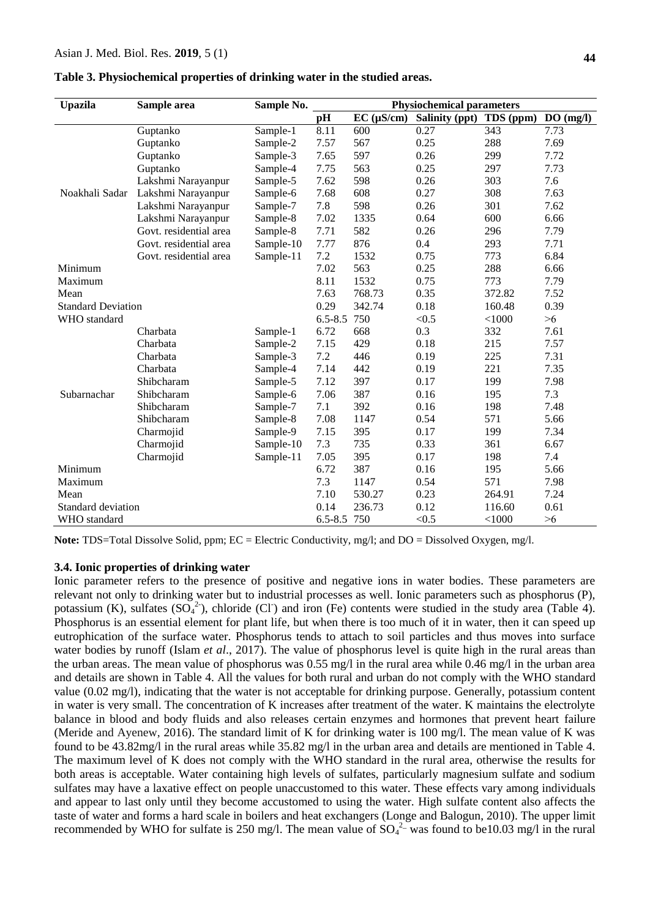| Table 3. Physiochemical properties of drinking water in the studied areas. |  |  |  |  |  |
|----------------------------------------------------------------------------|--|--|--|--|--|
|----------------------------------------------------------------------------|--|--|--|--|--|

| <b>Upazila</b>            | Sample area            | Sample No. | <b>Physiochemical parameters</b> |                 |                |           |          |
|---------------------------|------------------------|------------|----------------------------------|-----------------|----------------|-----------|----------|
|                           |                        |            | pH                               | $EC (\mu S/cm)$ | Salinity (ppt) | TDS (ppm) | DO(mg/l) |
|                           | Guptanko               | Sample-1   | 8.11                             | 600             | 0.27           | 343       | 7.73     |
|                           | Guptanko               | Sample-2   | 7.57                             | 567             | 0.25           | 288       | 7.69     |
|                           | Guptanko               | Sample-3   | 7.65                             | 597             | 0.26           | 299       | 7.72     |
|                           | Guptanko               | Sample-4   | 7.75                             | 563             | 0.25           | 297       | 7.73     |
|                           | Lakshmi Narayanpur     | Sample-5   | 7.62                             | 598             | 0.26           | 303       | 7.6      |
| Noakhali Sadar            | Lakshmi Narayanpur     | Sample-6   | 7.68                             | 608             | 0.27           | 308       | 7.63     |
|                           | Lakshmi Narayanpur     | Sample-7   | 7.8                              | 598             | 0.26           | 301       | 7.62     |
|                           | Lakshmi Narayanpur     | Sample-8   | 7.02                             | 1335            | 0.64           | 600       | 6.66     |
|                           | Govt. residential area | Sample-8   | 7.71                             | 582             | 0.26           | 296       | 7.79     |
|                           | Govt. residential area | Sample-10  | 7.77                             | 876             | 0.4            | 293       | 7.71     |
|                           | Govt. residential area | Sample-11  | 7.2                              | 1532            | 0.75           | 773       | 6.84     |
| Minimum                   |                        |            | 7.02                             | 563             | 0.25           | 288       | 6.66     |
| Maximum                   |                        |            | 8.11                             | 1532            | 0.75           | 773       | 7.79     |
| Mean                      |                        |            | 7.63                             | 768.73          | 0.35           | 372.82    | 7.52     |
| <b>Standard Deviation</b> |                        |            | 0.29                             | 342.74          | 0.18           | 160.48    | 0.39     |
| WHO standard              |                        |            | $6.5 - 8.5$                      | 750             | < 0.5          | < 1000    | >6       |
|                           | Charbata               | Sample-1   | 6.72                             | 668             | 0.3            | 332       | 7.61     |
|                           | Charbata               | Sample-2   | 7.15                             | 429             | 0.18           | 215       | 7.57     |
|                           | Charbata               | Sample-3   | 7.2                              | 446             | 0.19           | 225       | 7.31     |
|                           | Charbata               | Sample-4   | 7.14                             | 442             | 0.19           | 221       | 7.35     |
|                           | Shibcharam             | Sample-5   | 7.12                             | 397             | 0.17           | 199       | 7.98     |
| Subarnachar               | Shibcharam             | Sample-6   | 7.06                             | 387             | 0.16           | 195       | 7.3      |
|                           | Shibcharam             | Sample-7   | 7.1                              | 392             | 0.16           | 198       | 7.48     |
|                           | Shibcharam             | Sample-8   | 7.08                             | 1147            | 0.54           | 571       | 5.66     |
|                           | Charmojid              | Sample-9   | 7.15                             | 395             | 0.17           | 199       | 7.34     |
|                           | Charmojid              | Sample-10  | 7.3                              | 735             | 0.33           | 361       | 6.67     |
|                           | Charmojid              | Sample-11  | 7.05                             | 395             | 0.17           | 198       | 7.4      |
| Minimum                   |                        |            | 6.72                             | 387             | 0.16           | 195       | 5.66     |
| Maximum                   |                        |            | 7.3                              | 1147            | 0.54           | 571       | 7.98     |
| Mean                      |                        |            | 7.10                             | 530.27          | 0.23           | 264.91    | 7.24     |
| Standard deviation        |                        |            | 0.14                             | 236.73          | 0.12           | 116.60    | 0.61     |
| WHO standard              |                        |            | 6.5-8.5 750                      |                 | < 0.5          | < 1000    | >6       |

**Note:** TDS=Total Dissolve Solid, ppm; EC = Electric Conductivity, mg/l; and DO = Dissolved Oxygen, mg/l.

#### **3.4. Ionic properties of drinking water**

Ionic parameter refers to the presence of positive and negative ions in water bodies. These parameters are relevant not only to drinking water but to industrial processes as well. Ionic parameters such as phosphorus (P), potassium (K), sulfates  $(SO_4^2)$ , chloride (Cl) and iron (Fe) contents were studied in the study area (Table 4). Phosphorus is an essential element for plant life, but when there is too much of it in water, then it can speed up eutrophication of the surface water. Phosphorus tends to attach to soil particles and thus moves into surface water bodies by runoff (Islam *et al.*, 2017). The value of phosphorus level is quite high in the rural areas than the urban areas. The mean value of phosphorus was 0.55 mg/l in the rural area while 0.46 mg/l in the urban area and details are shown in Table 4. All the values for both rural and urban do not comply with the WHO standard value (0.02 mg/l), indicating that the water is not acceptable for drinking purpose. Generally, potassium content in water is very small. The concentration of K increases after treatment of the water. K maintains the electrolyte balance in blood and body fluids and also releases certain enzymes and hormones that prevent heart failure (Meride and Ayenew, 2016). The standard limit of K for drinking water is 100 mg/l. The mean value of K was found to be 43.82mg/l in the rural areas while 35.82 mg/l in the urban area and details are mentioned in Table 4. The maximum level of K does not comply with the WHO standard in the rural area, otherwise the results for both areas is acceptable. Water containing high levels of sulfates, particularly magnesium sulfate and sodium sulfates may have a laxative effect on people unaccustomed to this water. These effects vary among individuals and appear to last only until they become accustomed to using the water. High sulfate content also affects the taste of water and forms a hard scale in boilers and heat exchangers (Longe and Balogun, 2010). The upper limit recommended by WHO for sulfate is 250 mg/l. The mean value of  $SO_4^{2-}$  was found to be10.03 mg/l in the rural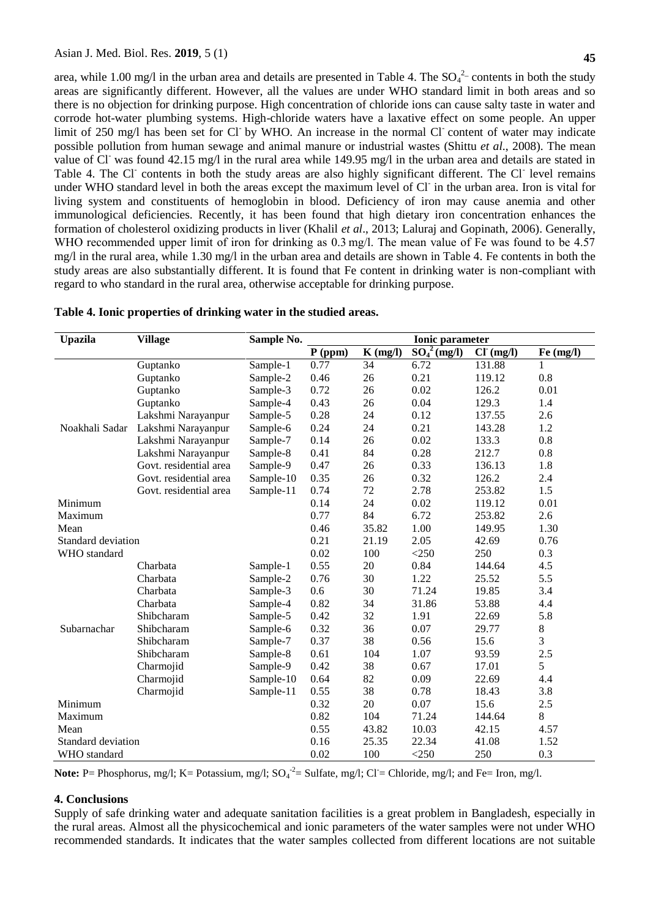area, while 1.00 mg/l in the urban area and details are presented in Table 4. The  $SO_4^2$ -contents in both the study areas are significantly different. However, all the values are under WHO standard limit in both areas and so there is no objection for drinking purpose. High concentration of chloride ions can cause salty taste in water and corrode hot-water plumbing systems. High-chloride waters have a laxative effect on some people. An upper limit of 250 mg/l has been set for Cl by WHO. An increase in the normal Cl content of water may indicate possible pollution from human sewage and animal manure or industrial wastes (Shittu *et al*., 2008). The mean value of Cl was found 42.15 mg/l in the rural area while 149.95 mg/l in the urban area and details are stated in Table 4. The Cl<sup>-</sup> contents in both the study areas are also highly significant different. The Cl<sup>-</sup> level remains under WHO standard level in both the areas except the maximum level of Cl-in the urban area. Iron is vital for living system and constituents of hemoglobin in blood. Deficiency of iron may cause anemia and other immunological deficiencies. Recently, it has been found that high dietary iron concentration enhances the formation of cholesterol oxidizing products in liver (Khalil *et al*., 2013; Laluraj and Gopinath, 2006). Generally, WHO recommended upper limit of iron for drinking as 0.3 mg/l. The mean value of Fe was found to be 4.57 mg/l in the rural area, while 1.30 mg/l in the urban area and details are shown in Table 4. Fe contents in both the study areas are also substantially different. It is found that Fe content in drinking water is non-compliant with regard to who standard in the rural area, otherwise acceptable for drinking purpose.

| <b>Upazila</b>     | <b>Village</b>         | Sample No. | <b>Ionic parameter</b> |            |                                         |          |           |
|--------------------|------------------------|------------|------------------------|------------|-----------------------------------------|----------|-----------|
|                    |                        |            | $P$ (ppm)              | $K$ (mg/l) | $\overline{{\rm SO}_4{}^2({\rm mg/l})}$ | CI(mg/l) | Fe (mg/l) |
|                    | Guptanko               | Sample-1   | 0.77                   | 34         | 6.72                                    | 131.88   |           |
|                    | Guptanko               | Sample-2   | 0.46                   | 26         | 0.21                                    | 119.12   | 0.8       |
|                    | Guptanko               | Sample-3   | 0.72                   | 26         | 0.02                                    | 126.2    | 0.01      |
|                    | Guptanko               | Sample-4   | 0.43                   | 26         | 0.04                                    | 129.3    | 1.4       |
|                    | Lakshmi Narayanpur     | Sample-5   | 0.28                   | 24         | 0.12                                    | 137.55   | 2.6       |
| Noakhali Sadar     | Lakshmi Narayanpur     | Sample-6   | 0.24                   | 24         | 0.21                                    | 143.28   | 1.2       |
|                    | Lakshmi Narayanpur     | Sample-7   | 0.14                   | 26         | 0.02                                    | 133.3    | 0.8       |
|                    | Lakshmi Narayanpur     | Sample-8   | 0.41                   | 84         | 0.28                                    | 212.7    | 0.8       |
|                    | Govt. residential area | Sample-9   | 0.47                   | 26         | 0.33                                    | 136.13   | 1.8       |
|                    | Govt. residential area | Sample-10  | 0.35                   | 26         | 0.32                                    | 126.2    | 2.4       |
|                    | Govt. residential area | Sample-11  | 0.74                   | 72         | 2.78                                    | 253.82   | 1.5       |
| Minimum            |                        |            | 0.14                   | 24         | 0.02                                    | 119.12   | 0.01      |
| Maximum            |                        |            | 0.77                   | 84         | 6.72                                    | 253.82   | 2.6       |
| Mean               |                        |            | 0.46                   | 35.82      | 1.00                                    | 149.95   | 1.30      |
| Standard deviation |                        |            | 0.21                   | 21.19      | 2.05                                    | 42.69    | 0.76      |
| WHO standard       |                        |            | 0.02                   | 100        | $<$ 250                                 | 250      | 0.3       |
|                    | Charbata               | Sample-1   | 0.55                   | 20         | 0.84                                    | 144.64   | 4.5       |
|                    | Charbata               | Sample-2   | 0.76                   | 30         | 1.22                                    | 25.52    | 5.5       |
|                    | Charbata               | Sample-3   | 0.6                    | 30         | 71.24                                   | 19.85    | 3.4       |
|                    | Charbata               | Sample-4   | 0.82                   | 34         | 31.86                                   | 53.88    | 4.4       |
|                    | Shibcharam             | Sample-5   | 0.42                   | 32         | 1.91                                    | 22.69    | 5.8       |
| Subarnachar        | Shibcharam             | Sample-6   | 0.32                   | 36         | 0.07                                    | 29.77    | 8         |
|                    | Shibcharam             | Sample-7   | 0.37                   | 38         | 0.56                                    | 15.6     | 3         |
|                    | Shibcharam             | Sample-8   | 0.61                   | 104        | 1.07                                    | 93.59    | 2.5       |
|                    | Charmojid              | Sample-9   | 0.42                   | 38         | 0.67                                    | 17.01    | 5         |
|                    | Charmojid              | Sample-10  | 0.64                   | 82         | 0.09                                    | 22.69    | 4.4       |
|                    | Charmojid              | Sample-11  | 0.55                   | 38         | 0.78                                    | 18.43    | 3.8       |
| Minimum            |                        |            | 0.32                   | 20         | 0.07                                    | 15.6     | 2.5       |
| Maximum            |                        |            | 0.82                   | 104        | 71.24                                   | 144.64   | 8         |
| Mean               |                        |            | 0.55                   | 43.82      | 10.03                                   | 42.15    | 4.57      |
| Standard deviation |                        | 0.16       | 25.35                  | 22.34      | 41.08                                   | 1.52     |           |
| WHO standard       |                        |            | 0.02                   | 100        | $<$ 250                                 | 250      | 0.3       |

|  | Table 4. Ionic properties of drinking water in the studied areas. |  |  |  |  |
|--|-------------------------------------------------------------------|--|--|--|--|
|  |                                                                   |  |  |  |  |

Note: P= Phosphorus, mg/l; K= Potassium, mg/l; SO<sub>4</sub><sup>-2</sup>= Sulfate, mg/l; Cl<sup>-</sup>= Chloride, mg/l; and Fe= Iron, mg/l.

# **4. Conclusions**

Supply of safe drinking water and adequate sanitation facilities is a great problem in Bangladesh, especially in the rural areas. Almost all the physicochemical and ionic parameters of the water samples were not under WHO recommended standards. It indicates that the water samples collected from different locations are not suitable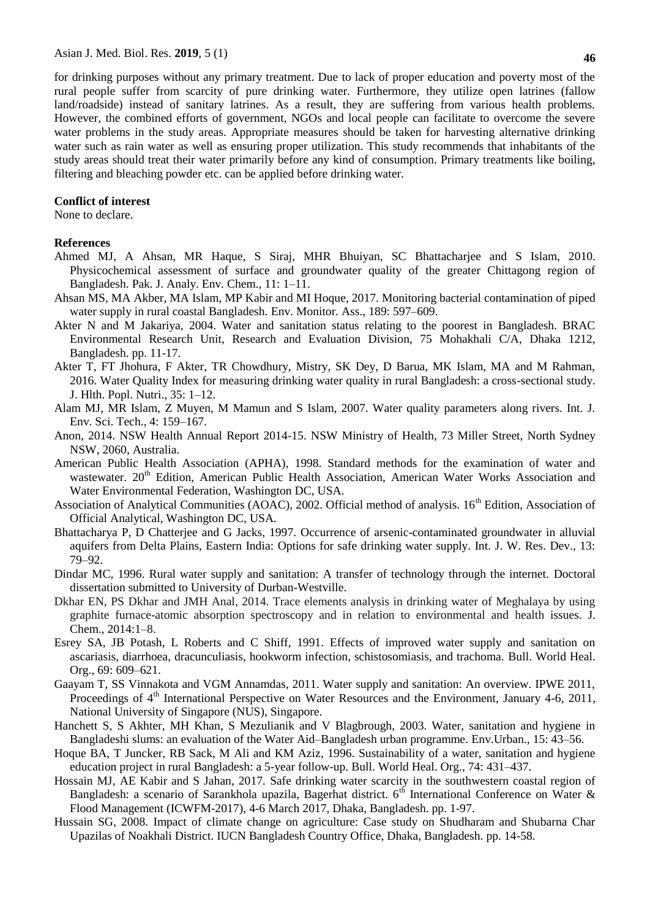for drinking purposes without any primary treatment. Due to lack of proper education and poverty most of the rural people suffer from scarcity of pure drinking water. Furthermore, they utilize open latrines (fallow land/roadside) instead of sanitary latrines. As a result, they are suffering from various health problems. However, the combined efforts of government, NGOs and local people can facilitate to overcome the severe water problems in the study areas. Appropriate measures should be taken for harvesting alternative drinking water such as rain water as well as ensuring proper utilization. This study recommends that inhabitants of the study areas should treat their water primarily before any kind of consumption. Primary treatments like boiling, filtering and bleaching powder etc. can be applied before drinking water.

## **Conflict of interest**

None to declare.

## **References**

- Ahmed MJ, A Ahsan, MR Haque, S Siraj, MHR Bhuiyan, SC Bhattacharjee and S Islam, 2010. Physicochemical assessment of surface and groundwater quality of the greater Chittagong region of Bangladesh. Pak. J. Analy. Env. Chem., 11: 1–11.
- Ahsan MS, MA Akber, MA Islam, MP Kabir and MI Hoque, 2017. Monitoring bacterial contamination of piped water supply in rural coastal Bangladesh. Env. Monitor. Ass., 189: 597–609.
- Akter N and M Jakariya, 2004. Water and sanitation status relating to the poorest in Bangladesh. BRAC Environmental Research Unit, Research and Evaluation Division, 75 Mohakhali C/A, Dhaka 1212, Bangladesh. pp. 11-17.
- Akter T, FT Jhohura, F Akter, TR Chowdhury, Mistry, SK Dey, D Barua, MK Islam, MA and M Rahman, 2016. Water Quality Index for measuring drinking water quality in rural Bangladesh: a cross-sectional study. J. Hlth. Popl. Nutri., 35: 1–12.
- Alam MJ, MR Islam, Z Muyen, M Mamun and S Islam, 2007. Water quality parameters along rivers. Int. J. Env. Sci. Tech., 4: 159–167.
- Anon, 2014. NSW Health Annual Report 2014-15. NSW Ministry of Health, 73 Miller Street, North Sydney NSW, 2060, Australia.
- American Public Health Association (APHA), 1998. Standard methods for the examination of water and wastewater. 20<sup>th</sup> Edition, American Public Health Association, American Water Works Association and Water Environmental Federation, Washington DC, USA.
- Association of Analytical Communities (AOAC), 2002. Official method of analysis. 16<sup>th</sup> Edition, Association of Official Analytical, Washington DC, USA.
- Bhattacharya P, D Chatterjee and G Jacks, 1997. Occurrence of arsenic-contaminated groundwater in alluvial aquifers from Delta Plains, Eastern India: Options for safe drinking water supply. Int. J. W. Res. Dev., 13: 79–92.
- Dindar MC, 1996. Rural water supply and sanitation: A transfer of technology through the internet. Doctoral dissertation submitted to University of Durban-Westville.
- Dkhar EN, PS Dkhar and JMH Anal, 2014. Trace elements analysis in drinking water of Meghalaya by using graphite furnace-atomic absorption spectroscopy and in relation to environmental and health issues. J. Chem., 2014:1–8.
- Esrey SA, JB Potash, L Roberts and C Shiff, 1991. Effects of improved water supply and sanitation on ascariasis, diarrhoea, dracunculiasis, hookworm infection, schistosomiasis, and trachoma. Bull. World Heal. Org., 69: 609–621.
- Gaayam T, SS Vinnakota and VGM Annamdas, 2011. Water supply and sanitation: An overview. IPWE 2011, Proceedings of  $4<sup>th</sup>$  International Perspective on Water Resources and the Environment, January 4-6, 2011, National University of Singapore (NUS), Singapore.
- Hanchett S, S Akhter, MH Khan, S Mezulianik and V Blagbrough, 2003. Water, sanitation and hygiene in Bangladeshi slums: an evaluation of the Water Aid–Bangladesh urban programme. Env.Urban., 15: 43–56.
- Hoque BA, T Juncker, RB Sack, M Ali and KM Aziz, 1996. Sustainability of a water, sanitation and hygiene education project in rural Bangladesh: a 5-year follow-up. Bull. World Heal. Org., 74: 431–437.
- Hossain MJ, AE Kabir and S Jahan, 2017. Safe drinking water scarcity in the southwestern coastal region of Bangladesh: a scenario of Sarankhola upazila, Bagerhat district.  $6<sup>th</sup>$  International Conference on Water & Flood Management (ICWFM-2017), 4-6 March 2017, Dhaka, Bangladesh. pp. 1-97.
- Hussain SG, 2008. Impact of climate change on agriculture: Case study on Shudharam and Shubarna Char Upazilas of Noakhali District. IUCN Bangladesh Country Office, Dhaka, Bangladesh. pp. 14-58.